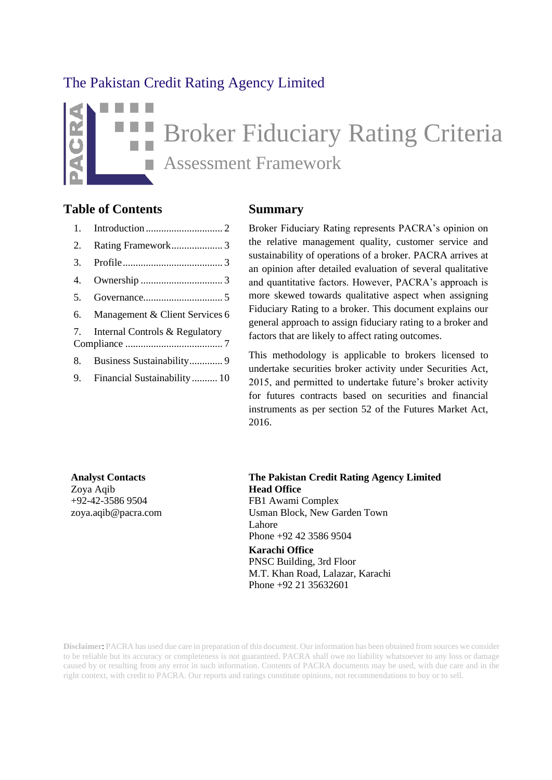## The Pakistan Credit Rating Agency Limited

# Broker Fiduciary Rating Criteria Assessment Framework m.

### **Table of Contents Summary**

| 2. |                                   |
|----|-----------------------------------|
| 3. |                                   |
| 4. |                                   |
| 5. |                                   |
|    | 6. Management & Client Services 6 |
|    | 7. Internal Controls & Regulatory |
|    | 8. Business Sustainability 9      |
|    | 9. Financial Sustainability 10    |
|    |                                   |

Broker Fiduciary Rating represents PACRA's opinion on the relative management quality, customer service and sustainability of operations of a broker. PACRA arrives at an opinion after detailed evaluation of several qualitative and quantitative factors. However, PACRA's approach is more skewed towards qualitative aspect when assigning Fiduciary Rating to a broker. This document explains our general approach to assign fiduciary rating to a broker and factors that are likely to affect rating outcomes.

This methodology is applicable to brokers licensed to undertake securities broker activity under Securities Act, 2015, and permitted to undertake future's broker activity for futures contracts based on securities and financial instruments as per section 52 of the Futures Market Act, 2016.

Zoya Aqib +92-42-3586 9504 [zoya.aqib@pacra.com](mailto:zoya.aqib@pacra.com)

**Analyst Contacts The Pakistan Credit Rating Agency Limited Head Office** FB1 Awami Complex Usman Block, New Garden Town Lahore Phone +92 42 3586 9504

> **Karachi Office** PNSC Building, 3rd Floor M.T. Khan Road, Lalazar, Karachi Phone +92 21 35632601

**Disclaimer**: PACRA has used due care in preparation of this document. Our information has been obtained from sources we consider to be reliable but its accuracy or completeness is not guaranteed. PACRA shall owe no liability whatsoever to any loss or damage caused by or resulting from any error in such information. Contents of PACRA documents may be used, with due care and in the right context, with credit to PACRA. Our reports and ratings constitute opinions, not recommendations to buy or to sell.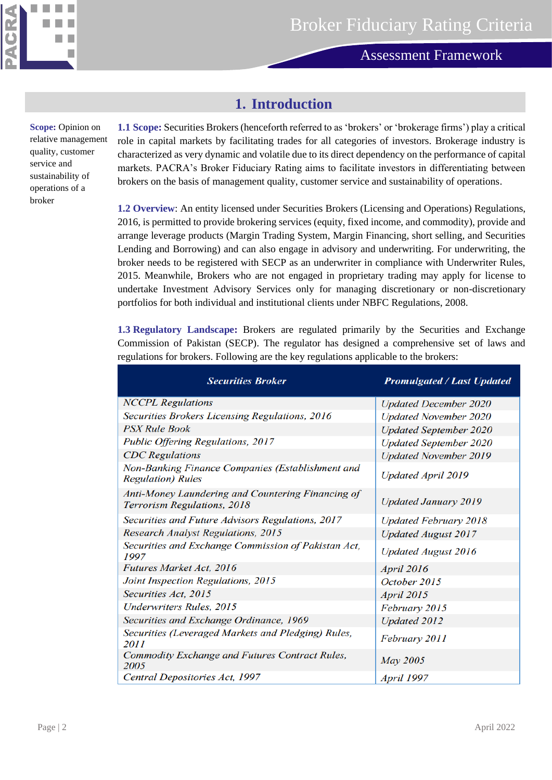

**Methodology – Asset Manager Rating**

### **1. Introduction**

<span id="page-1-0"></span>**Scope:** Opinion on relative management quality, customer service and sustainability of operations of a broker

**1.1 Scope:** Securities Brokers (henceforth referred to as 'brokers' or 'brokerage firms') play a critical role in capital markets by facilitating trades for all categories of investors. Brokerage industry is characterized as very dynamic and volatile due to its direct dependency on the performance of capital markets. PACRA's Broker Fiduciary Rating aims to facilitate investors in differentiating between brokers on the basis of management quality, customer service and sustainability of operations.

**1.2 Overview**: An entity licensed under Securities Brokers (Licensing and Operations) Regulations, 2016, is permitted to provide brokering services (equity, fixed income, and commodity), provide and arrange leverage products (Margin Trading System, Margin Financing, short selling, and Securities Lending and Borrowing) and can also engage in advisory and underwriting. For underwriting, the broker needs to be registered with SECP as an underwriter in compliance with Underwriter Rules, 2015. Meanwhile, Brokers who are not engaged in proprietary trading may apply for license to undertake Investment Advisory Services only for managing discretionary or non-discretionary portfolios for both individual and institutional clients under NBFC Regulations, 2008.

**1.3 Regulatory Landscape:** Brokers are regulated primarily by the Securities and Exchange Commission of Pakistan (SECP). The regulator has designed a comprehensive set of laws and regulations for brokers. Following are the key regulations applicable to the brokers:

| <b>Securities Broker</b>                                                         | <b>Promulgated / Last Updated</b> |  |
|----------------------------------------------------------------------------------|-----------------------------------|--|
| <b>NCCPL</b> Regulations                                                         | <b>Updated December 2020</b>      |  |
| Securities Brokers Licensing Regulations, 2016                                   | <b>Updated November 2020</b>      |  |
| <b>PSX Rule Book</b>                                                             | <b>Updated September 2020</b>     |  |
| Public Offering Regulations, 2017                                                | <b>Updated September 2020</b>     |  |
| <b>CDC</b> Regulations                                                           | <b>Updated November 2019</b>      |  |
| Non-Banking Finance Companies (Establishment and<br><b>Regulation</b> ) Rules    | <b>Updated April 2019</b>         |  |
| Anti-Money Laundering and Countering Financing of<br>Terrorism Regulations, 2018 | <b>Updated January 2019</b>       |  |
| Securities and Future Advisors Regulations, 2017                                 | <b>Updated February 2018</b>      |  |
| Research Analyst Regulations, 2015                                               | <b>Updated August 2017</b>        |  |
| Securities and Exchange Commission of Pakistan Act,<br>1997                      | <b>Updated August 2016</b>        |  |
| <b>Futures Market Act, 2016</b>                                                  | <b>April 2016</b>                 |  |
| Joint Inspection Regulations, 2015                                               | October 2015                      |  |
| Securities Act, 2015                                                             | <b>April 2015</b>                 |  |
| <b>Underwriters Rules</b> , 2015                                                 | February 2015                     |  |
| Securities and Exchange Ordinance, 1969                                          | <b>Updated 2012</b>               |  |
| Securities (Leveraged Markets and Pledging) Rules,<br>2011                       | February 2011                     |  |
| Commodity Exchange and Futures Contract Rules,<br>2005                           | <b>May 2005</b>                   |  |
| Central Depositories Act, 1997                                                   | <b>April 1997</b>                 |  |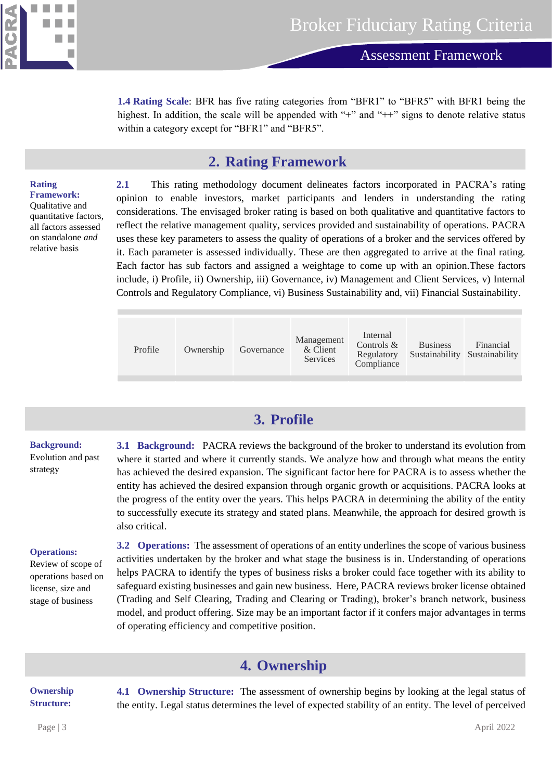

**1.4 Rating Scale**: BFR has five rating categories from "BFR1" to "BFR5" with BFR1 being the highest. In addition, the scale will be appended with "+" and "++" signs to denote relative status within a category except for "BFR1" and "BFR5".

### **2. Rating Framework**

#### <span id="page-2-0"></span>**Rating Framework:**

Qualitative and quantitative factors, all factors assessed on standalone *and* relative basis

**2.1** This rating methodology document delineates factors incorporated in PACRA's rating opinion to enable investors, market participants and lenders in understanding the rating considerations. The envisaged broker rating is based on both qualitative and quantitative factors to reflect the relative management quality, services provided and sustainability of operations. PACRA uses these key parameters to assess the quality of operations of a broker and the services offered by it. Each parameter is assessed individually. These are then aggregated to arrive at the final rating. Each factor has sub factors and assigned a weightage to come up with an opinion.These factors include, i) Profile, ii) Ownership, iii) Governance, iv) Management and Client Services, v) Internal Controls and Regulatory Compliance, vi) Business Sustainability and, vii) Financial Sustainability.

| Internal<br>Management<br>Controls $&$<br><b>Business</b><br>Profile<br>& Client<br>Ownership<br>Governance<br>Sustainability Sustainability<br>Regulatory<br><b>Services</b><br>Compliance | Financial |
|---------------------------------------------------------------------------------------------------------------------------------------------------------------------------------------------|-----------|
|---------------------------------------------------------------------------------------------------------------------------------------------------------------------------------------------|-----------|

## **3. Profile**

#### <span id="page-2-1"></span>**Background:**

Evolution and past strategy

**3.1 Background:** PACRA reviews the background of the broker to understand its evolution from where it started and where it currently stands. We analyze how and through what means the entity has achieved the desired expansion. The significant factor here for PACRA is to assess whether the entity has achieved the desired expansion through organic growth or acquisitions. PACRA looks at the progress of the entity over the years. This helps PACRA in determining the ability of the entity to successfully execute its strategy and stated plans. Meanwhile, the approach for desired growth is also critical.

#### **Operations:**

Review of scope of operations based on license, size and stage of business

**3.2 Operations:** The assessment of operations of an entity underlines the scope of various business activities undertaken by the broker and what stage the business is in. Understanding of operations helps PACRA to identify the types of business risks a broker could face together with its ability to safeguard existing businesses and gain new business. Here, PACRA reviews broker license obtained (Trading and Self Clearing, Trading and Clearing or Trading), broker's branch network, business model, and product offering. Size may be an important factor if it confers major advantages in terms of operating efficiency and competitive position.

## **4. Ownership**

#### <span id="page-2-2"></span>**Ownership Structure:**

**4.1 Ownership Structure:** The assessment of ownership begins by looking at the legal status of the entity. Legal status determines the level of expected stability of an entity. The level of perceived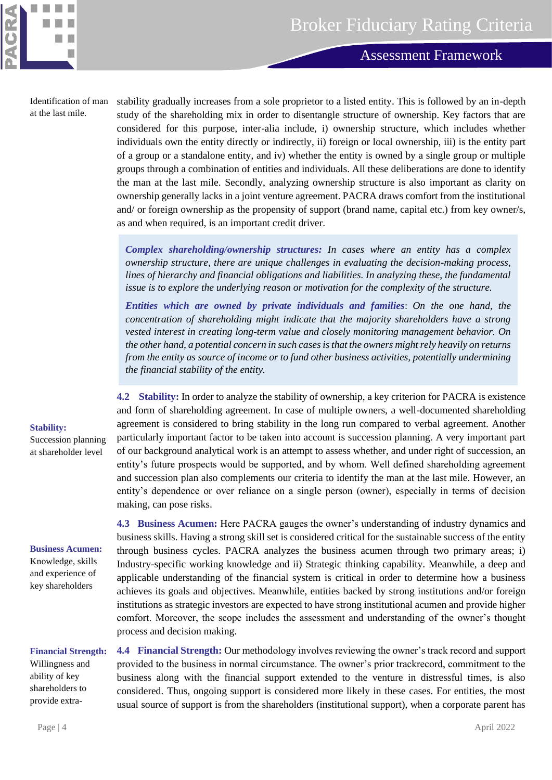

Identification of man at the last mile.

п

stability gradually increases from a sole proprietor to a listed entity. This is followed by an in-depth study of the shareholding mix in order to disentangle structure of ownership. Key factors that are considered for this purpose, inter-alia include, i) ownership structure, which includes whether individuals own the entity directly or indirectly, ii) foreign or local ownership, iii) is the entity part of a group or a standalone entity, and iv) whether the entity is owned by a single group or multiple groups through a combination of entities and individuals. All these deliberations are done to identify the man at the last mile. Secondly, analyzing ownership structure is also important as clarity on ownership generally lacks in a joint venture agreement. PACRA draws comfort from the institutional and/ or foreign ownership as the propensity of support (brand name, capital etc.) from key owner/s, as and when required, is an important credit driver.

*Complex shareholding/ownership structures: In cases where an entity has a complex ownership structure, there are unique challenges in evaluating the decision-making process, lines of hierarchy and financial obligations and liabilities. In analyzing these, the fundamental issue is to explore the underlying reason or motivation for the complexity of the structure.*

*Entities which are owned by private individuals and families*: *On the one hand, the concentration of shareholding might indicate that the majority shareholders have a strong vested interest in creating long-term value and closely monitoring management behavior. On the other hand, a potential concern in such cases is that the owners might rely heavily on returns from the entity as source of income or to fund other business activities, potentially undermining the financial stability of the entity.*

**4.2 Stability:** In order to analyze the stability of ownership, a key criterion for PACRA is existence and form of shareholding agreement. In case of multiple owners, a well-documented shareholding agreement is considered to bring stability in the long run compared to verbal agreement. Another particularly important factor to be taken into account is succession planning. A very important part of our background analytical work is an attempt to assess whether, and under right of succession, an entity's future prospects would be supported, and by whom. Well defined shareholding agreement and succession plan also complements our criteria to identify the man at the last mile. However, an entity's dependence or over reliance on a single person (owner), especially in terms of decision making, can pose risks.

**4.3 Business Acumen:** Here PACRA gauges the owner's understanding of industry dynamics and business skills. Having a strong skill set is considered critical for the sustainable success of the entity through business cycles. PACRA analyzes the business acumen through two primary areas; i) Industry-specific working knowledge and ii) Strategic thinking capability. Meanwhile, a deep and applicable understanding of the financial system is critical in order to determine how a business achieves its goals and objectives. Meanwhile, entities backed by strong institutions and/or foreign institutions as strategic investors are expected to have strong institutional acumen and provide higher comfort. Moreover, the scope includes the assessment and understanding of the owner's thought process and decision making.

**4.4 Financial Strength:** Our methodology involves reviewing the owner's track record and support provided to the business in normal circumstance. The owner's prior trackrecord, commitment to the business along with the financial support extended to the venture in distressful times, is also considered. Thus, ongoing support is considered more likely in these cases. For entities, the most usual source of support is from the shareholders (institutional support), when a corporate parent has

### **Stability:**

Succession planning at shareholder level

#### **Business Acumen:**

Knowledge, skills and experience of key shareholders

### **Financial Strength:**

Willingness and ability of key shareholders to provide extra-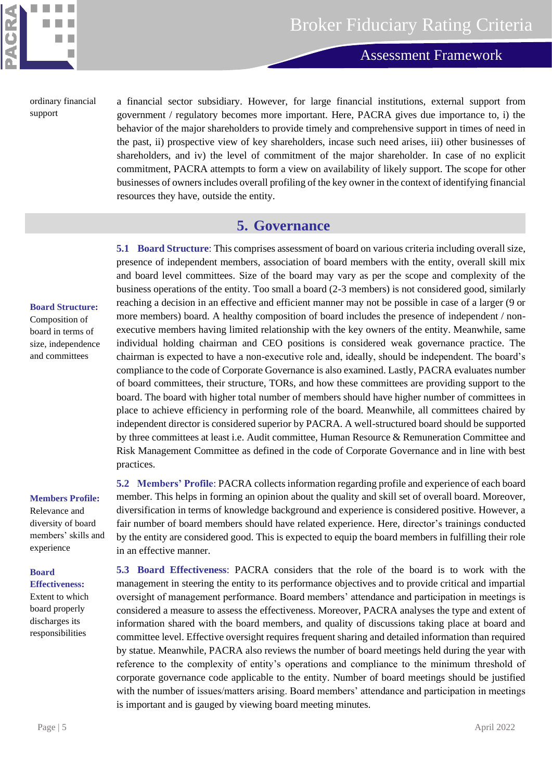

**Methodology – Asset Manager Rating**

ordinary financial support

a financial sector subsidiary. However, for large financial institutions, external support from government / regulatory becomes more important. Here, PACRA gives due importance to, i) the behavior of the major shareholders to provide timely and comprehensive support in times of need in the past, ii) prospective view of key shareholders, incase such need arises, iii) other businesses of shareholders, and iv) the level of commitment of the major shareholder. In case of no explicit commitment, PACRA attempts to form a view on availability of likely support. The scope for other businesses of owners includes overall profiling of the key owner in the context of identifying financial resources they have, outside the entity.

### **5. Governance**

**5.1 Board Structure**: This comprises assessment of board on various criteria including overall size, presence of independent members, association of board members with the entity, overall skill mix and board level committees. Size of the board may vary as per the scope and complexity of the business operations of the entity. Too small a board (2-3 members) is not considered good, similarly reaching a decision in an effective and efficient manner may not be possible in case of a larger (9 or more members) board. A healthy composition of board includes the presence of independent / nonexecutive members having limited relationship with the key owners of the entity. Meanwhile, same individual holding chairman and CEO positions is considered weak governance practice. The chairman is expected to have a non-executive role and, ideally, should be independent. The board's compliance to the code of Corporate Governance is also examined. Lastly, PACRA evaluates number of board committees, their structure, TORs, and how these committees are providing support to the board. The board with higher total number of members should have higher number of committees in place to achieve efficiency in performing role of the board. Meanwhile, all committees chaired by independent director is considered superior by PACRA. A well-structured board should be supported by three committees at least i.e. Audit committee, Human Resource & Remuneration Committee and Risk Management Committee as defined in the code of Corporate Governance and in line with best practices.

**Members Profile:**

<span id="page-4-0"></span>**Board Structure:** Composition of board in terms of size, independence and committees

Relevance and diversity of board members' skills and experience

### **Board**

**Effectiveness:** Extent to which board properly discharges its responsibilities

**5.2 Members' Profile**: PACRA collects information regarding profile and experience of each board member. This helps in forming an opinion about the quality and skill set of overall board. Moreover, diversification in terms of knowledge background and experience is considered positive. However, a fair number of board members should have related experience. Here, director's trainings conducted by the entity are considered good. This is expected to equip the board members in fulfilling their role in an effective manner.

**5.3 Board Effectiveness**: PACRA considers that the role of the board is to work with the management in steering the entity to its performance objectives and to provide critical and impartial oversight of management performance. Board members' attendance and participation in meetings is considered a measure to assess the effectiveness. Moreover, PACRA analyses the type and extent of information shared with the board members, and quality of discussions taking place at board and committee level. Effective oversight requires frequent sharing and detailed information than required by statue. Meanwhile, PACRA also reviews the number of board meetings held during the year with reference to the complexity of entity's operations and compliance to the minimum threshold of corporate governance code applicable to the entity. Number of board meetings should be justified with the number of issues/matters arising. Board members' attendance and participation in meetings is important and is gauged by viewing board meeting minutes.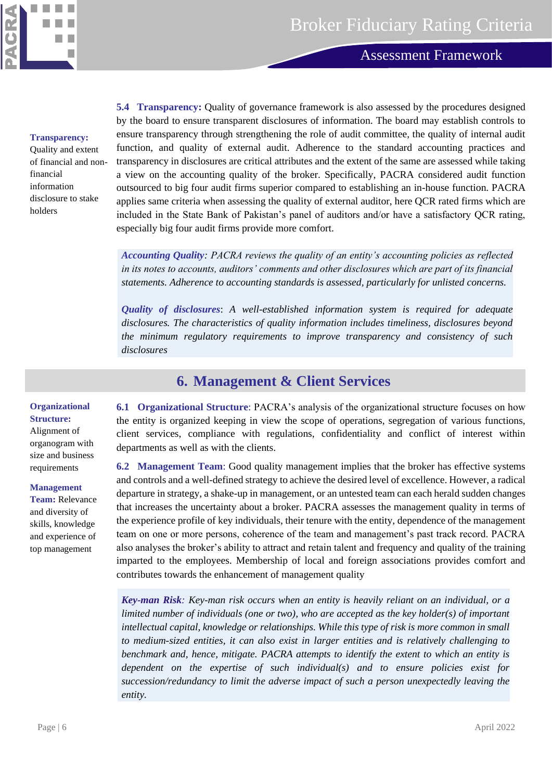

**Methodology – Asset Manager Rating**

#### **Transparency:**

Quality and extent of financial and nonfinancial information disclosure to stake holders

**5.4 Transparency:** Quality of governance framework is also assessed by the procedures designed by the board to ensure transparent disclosures of information. The board may establish controls to ensure transparency through strengthening the role of audit committee, the quality of internal audit function, and quality of external audit. Adherence to the standard accounting practices and transparency in disclosures are critical attributes and the extent of the same are assessed while taking a view on the accounting quality of the broker. Specifically, PACRA considered audit function outsourced to big four audit firms superior compared to establishing an in-house function. PACRA applies same criteria when assessing the quality of external auditor, here QCR rated firms which are included in the State Bank of Pakistan's panel of auditors and/or have a satisfactory QCR rating, especially big four audit firms provide more comfort.

*Accounting Quality: PACRA reviews the quality of an entity's accounting policies as reflected in its notes to accounts, auditors' comments and other disclosures which are part of its financial statements. Adherence to accounting standards is assessed, particularly for unlisted concerns.*

*Quality of disclosures*: *A well-established information system is required for adequate disclosures. The characteristics of quality information includes timeliness, disclosures beyond the minimum regulatory requirements to improve transparency and consistency of such disclosures*

### **6. Management & Client Services**

<span id="page-5-0"></span>**Organizational Structure:** Alignment of organogram with size and business requirements

#### **Management**

**Team:** Relevance and diversity of skills, knowledge and experience of top management

**6.1 Organizational Structure**: PACRA's analysis of the organizational structure focuses on how the entity is organized keeping in view the scope of operations, segregation of various functions, client services, compliance with regulations, confidentiality and conflict of interest within departments as well as with the clients.

**6.2 Management Team**: Good quality management implies that the broker has effective systems and controls and a well-defined strategy to achieve the desired level of excellence. However, a radical departure in strategy, a shake-up in management, or an untested team can each herald sudden changes that increases the uncertainty about a broker. PACRA assesses the management quality in terms of the experience profile of key individuals, their tenure with the entity, dependence of the management team on one or more persons, coherence of the team and management's past track record. PACRA also analyses the broker's ability to attract and retain talent and frequency and quality of the training imparted to the employees. Membership of local and foreign associations provides comfort and contributes towards the enhancement of management quality

*Key-man Risk: Key-man risk occurs when an entity is heavily reliant on an individual, or a limited number of individuals (one or two), who are accepted as the key holder(s) of important intellectual capital, knowledge or relationships. While this type of risk is more common in small to medium-sized entities, it can also exist in larger entities and is relatively challenging to benchmark and, hence, mitigate. PACRA attempts to identify the extent to which an entity is dependent on the expertise of such individual(s) and to ensure policies exist for succession/redundancy to limit the adverse impact of such a person unexpectedly leaving the entity.*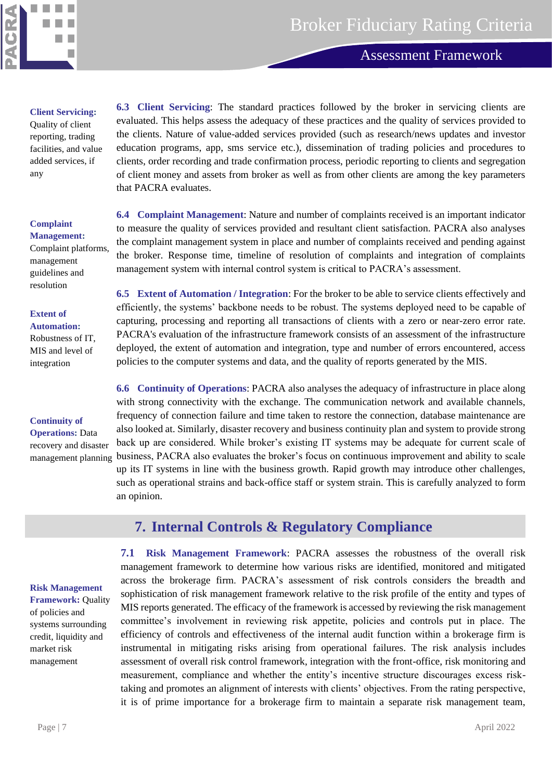

**Methodology – Asset Manager Rating**

#### **Client Servicing:**

Quality of client reporting, trading facilities, and value added services, if any

#### **Complaint Management:**

Complaint platforms, management guidelines and resolution

#### **Extent of**

**Automation:** Robustness of IT, MIS and level of integration

#### **Continuity of**

**Operations:** Data recovery and disaster management planning

#### <span id="page-6-0"></span>**Risk Management**

**Framework: Quality** of policies and systems surrounding credit, liquidity and market risk management

**6.3 Client Servicing**: The standard practices followed by the broker in servicing clients are evaluated. This helps assess the adequacy of these practices and the quality of services provided to the clients. Nature of value-added services provided (such as research/news updates and investor education programs, app, sms service etc.), dissemination of trading policies and procedures to clients, order recording and trade confirmation process, periodic reporting to clients and segregation of client money and assets from broker as well as from other clients are among the key parameters that PACRA evaluates.

**6.4 Complaint Management**: Nature and number of complaints received is an important indicator to measure the quality of services provided and resultant client satisfaction. PACRA also analyses the complaint management system in place and number of complaints received and pending against the broker. Response time, timeline of resolution of complaints and integration of complaints management system with internal control system is critical to PACRA's assessment.

**6.5 Extent of Automation / Integration**: For the broker to be able to service clients effectively and efficiently, the systems' backbone needs to be robust. The systems deployed need to be capable of capturing, processing and reporting all transactions of clients with a zero or near-zero error rate. PACRA's evaluation of the infrastructure framework consists of an assessment of the infrastructure deployed, the extent of automation and integration, type and number of errors encountered, access policies to the computer systems and data, and the quality of reports generated by the MIS.

**6.6 Continuity of Operations**: PACRA also analyses the adequacy of infrastructure in place along with strong connectivity with the exchange. The communication network and available channels, frequency of connection failure and time taken to restore the connection, database maintenance are also looked at. Similarly, disaster recovery and business continuity plan and system to provide strong back up are considered. While broker's existing IT systems may be adequate for current scale of business, PACRA also evaluates the broker's focus on continuous improvement and ability to scale up its IT systems in line with the business growth. Rapid growth may introduce other challenges, such as operational strains and back-office staff or system strain. This is carefully analyzed to form an opinion.

## **7. Internal Controls & Regulatory Compliance**

**7.1 Risk Management Framework**: PACRA assesses the robustness of the overall risk management framework to determine how various risks are identified, monitored and mitigated across the brokerage firm. PACRA's assessment of risk controls considers the breadth and sophistication of risk management framework relative to the risk profile of the entity and types of MIS reports generated. The efficacy of the framework is accessed by reviewing the risk management committee's involvement in reviewing risk appetite, policies and controls put in place. The efficiency of controls and effectiveness of the internal audit function within a brokerage firm is instrumental in mitigating risks arising from operational failures. The risk analysis includes assessment of overall risk control framework, integration with the front-office, risk monitoring and measurement, compliance and whether the entity's incentive structure discourages excess risktaking and promotes an alignment of interests with clients' objectives. From the rating perspective, it is of prime importance for a brokerage firm to maintain a separate risk management team,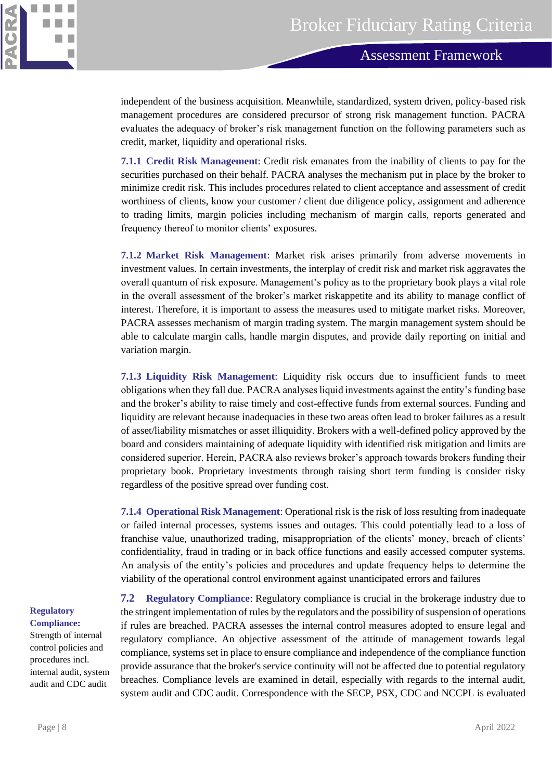

independent of the business acquisition. Meanwhile, standardized, system driven, policy-based risk management procedures are considered precursor of strong risk management function. PACRA evaluates the adequacy of broker's risk management function on the following parameters such as credit, market, liquidity and operational risks.

**7.1.1 Credit Risk Management**: Credit risk emanates from the inability of clients to pay for the securities purchased on their behalf. PACRA analyses the mechanism put in place by the broker to minimize credit risk. This includes procedures related to client acceptance and assessment of credit worthiness of clients, know your customer / client due diligence policy, assignment and adherence to trading limits, margin policies including mechanism of margin calls, reports generated and frequency thereof to monitor clients' exposures.

**7.1.2 Market Risk Management**: Market risk arises primarily from adverse movements in investment values. In certain investments, the interplay of credit risk and market risk aggravates the overall quantum of risk exposure. Management's policy as to the proprietary book plays a vital role in the overall assessment of the broker's market riskappetite and its ability to manage conflict of interest. Therefore, it is important to assess the measures used to mitigate market risks. Moreover, PACRA assesses mechanism of margin trading system. The margin management system should be able to calculate margin calls, handle margin disputes, and provide daily reporting on initial and variation margin.

**7.1.3 Liquidity Risk Management**: Liquidity risk occurs due to insufficient funds to meet obligations when they fall due. PACRA analyses liquid investments against the entity's funding base and the broker's ability to raise timely and cost-effective funds from external sources. Funding and liquidity are relevant because inadequacies in these two areas often lead to broker failures as a result of asset/liability mismatches or asset illiquidity. Brokers with a well-defined policy approved by the board and considers maintaining of adequate liquidity with identified risk mitigation and limits are considered superior. Herein, PACRA also reviews broker's approach towards brokers funding their proprietary book. Proprietary investments through raising short term funding is consider risky regardless of the positive spread over funding cost.

**7.1.4 Operational Risk Management**: Operational risk is the risk of loss resulting from inadequate or failed internal processes, systems issues and outages. This could potentially lead to a loss of franchise value, unauthorized trading, misappropriation of the clients' money, breach of clients' confidentiality, fraud in trading or in back office functions and easily accessed computer systems. An analysis of the entity's policies and procedures and update frequency helps to determine the viability of the operational control environment against unanticipated errors and failures

**Regulatory Compliance:** 

Strength of internal control policies and procedures incl. internal audit, system audit and CDC audit

**7.2 Regulatory Compliance**: Regulatory compliance is crucial in the brokerage industry due to the stringent implementation of rules by the regulators and the possibility of suspension of operations if rules are breached. PACRA assesses the internal control measures adopted to ensure legal and regulatory compliance. An objective assessment of the attitude of management towards legal compliance, systems set in place to ensure compliance and independence of the compliance function provide assurance that the broker's service continuity will not be affected due to potential regulatory breaches. Compliance levels are examined in detail, especially with regards to the internal audit, system audit and CDC audit. Correspondence with the SECP, PSX, CDC and NCCPL is evaluated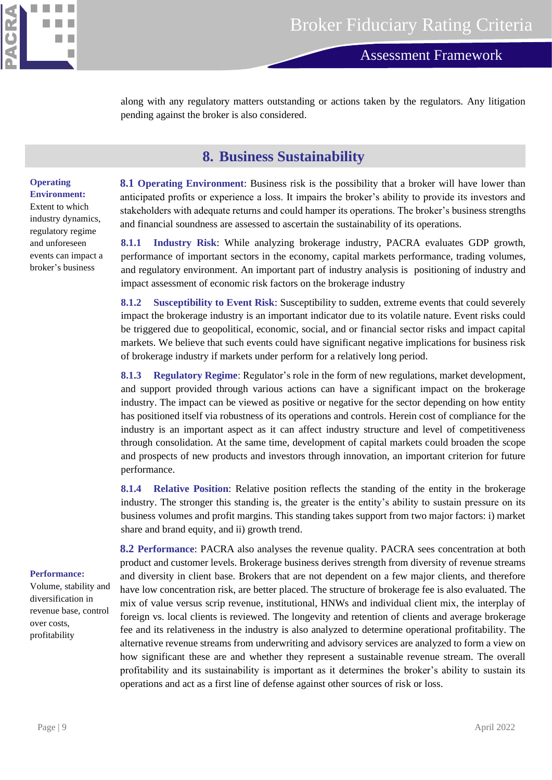

**Methodology – Asset Manager Rating**

along with any regulatory matters outstanding or actions taken by the regulators. Any litigation pending against the broker is also considered.

### **8. Business Sustainability**

#### <span id="page-8-0"></span>**Operating Environment:**

Extent to which industry dynamics, regulatory regime and unforeseen events can impact a broker's business

**8.1 Operating Environment**: Business risk is the possibility that a broker will have lower than anticipated profits or experience a loss. It impairs the broker's ability to provide its investors and stakeholders with adequate returns and could hamper its operations. The broker's business strengths and financial soundness are assessed to ascertain the sustainability of its operations.

**8.1.1 Industry Risk**: While analyzing brokerage industry, PACRA evaluates GDP growth, performance of important sectors in the economy, capital markets performance, trading volumes, and regulatory environment. An important part of industry analysis is positioning of industry and impact assessment of economic risk factors on the brokerage industry

**8.1.2 Susceptibility to Event Risk**: Susceptibility to sudden, extreme events that could severely impact the brokerage industry is an important indicator due to its volatile nature. Event risks could be triggered due to geopolitical, economic, social, and or financial sector risks and impact capital markets. We believe that such events could have significant negative implications for business risk of brokerage industry if markets under perform for a relatively long period.

**8.1.3 Regulatory Regime**: Regulator's role in the form of new regulations, market development, and support provided through various actions can have a significant impact on the brokerage industry. The impact can be viewed as positive or negative for the sector depending on how entity has positioned itself via robustness of its operations and controls. Herein cost of compliance for the industry is an important aspect as it can affect industry structure and level of competitiveness through consolidation. At the same time, development of capital markets could broaden the scope and prospects of new products and investors through innovation, an important criterion for future performance.

**8.1.4 Relative Position**: Relative position reflects the standing of the entity in the brokerage industry. The stronger this standing is, the greater is the entity's ability to sustain pressure on its business volumes and profit margins. This standing takes support from two major factors: i) market share and brand equity, and ii) growth trend.

**8.2 Performance**: PACRA also analyses the revenue quality. PACRA sees concentration at both product and customer levels. Brokerage business derives strength from diversity of revenue streams and diversity in client base. Brokers that are not dependent on a few major clients, and therefore have low concentration risk, are better placed. The structure of brokerage fee is also evaluated. The mix of value versus scrip revenue, institutional, HNWs and individual client mix, the interplay of foreign vs. local clients is reviewed. The longevity and retention of clients and average brokerage fee and its relativeness in the industry is also analyzed to determine operational profitability. The alternative revenue streams from underwriting and advisory services are analyzed to form a view on how significant these are and whether they represent a sustainable revenue stream. The overall profitability and its sustainability is important as it determines the broker's ability to sustain its operations and act as a first line of defense against other sources of risk or loss.

#### **Performance:**

Volume, stability and diversification in revenue base, control over costs, profitability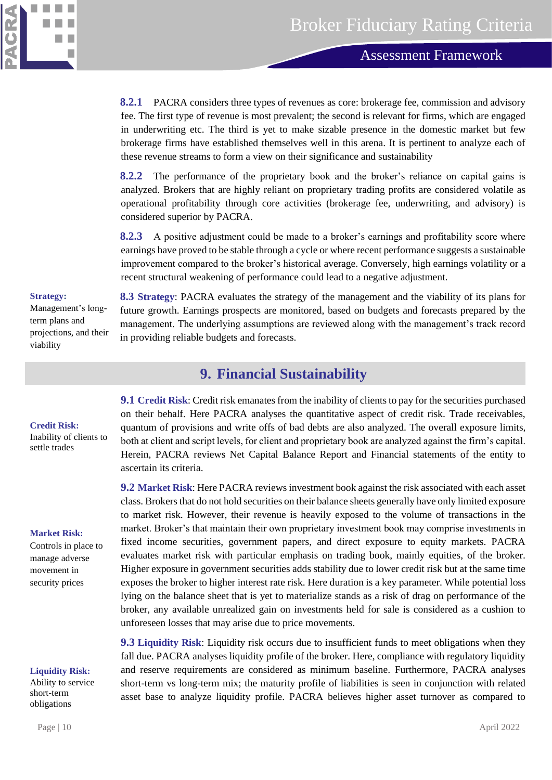

**8.2.1** PACRA considers three types of revenues as core: brokerage fee, commission and advisory fee. The first type of revenue is most prevalent; the second is relevant for firms, which are engaged in underwriting etc. The third is yet to make sizable presence in the domestic market but few brokerage firms have established themselves well in this arena. It is pertinent to analyze each of these revenue streams to form a view on their significance and sustainability

**8.2.2** The performance of the proprietary book and the broker's reliance on capital gains is analyzed. Brokers that are highly reliant on proprietary trading profits are considered volatile as operational profitability through core activities (brokerage fee, underwriting, and advisory) is considered superior by PACRA.

**8.2.3** A positive adjustment could be made to a broker's earnings and profitability score where earnings have proved to be stable through a cycle or where recent performance suggests a sustainable improvement compared to the broker's historical average. Conversely, high earnings volatility or a recent structural weakening of performance could lead to a negative adjustment.

#### **Strategy:**

Management's longterm plans and projections, and their viability

#### <span id="page-9-0"></span>**Credit Risk:**

Inability of clients to settle trades

#### **Market Risk:**

Controls in place to manage adverse movement in security prices

#### **Liquidity Risk:**

Ability to service short-term obligations

**8.3 Strategy**: PACRA evaluates the strategy of the management and the viability of its plans for future growth. Earnings prospects are monitored, based on budgets and forecasts prepared by the management. The underlying assumptions are reviewed along with the management's track record in providing reliable budgets and forecasts.

### **9. Financial Sustainability**

**9.1 Credit Risk**: Credit risk emanates from the inability of clients to pay for the securities purchased on their behalf. Here PACRA analyses the quantitative aspect of credit risk. Trade receivables, quantum of provisions and write offs of bad debts are also analyzed. The overall exposure limits, both at client and script levels, for client and proprietary book are analyzed against the firm's capital. Herein, PACRA reviews Net Capital Balance Report and Financial statements of the entity to ascertain its criteria.

**9.2 Market Risk**: Here PACRA reviews investment book against the risk associated with each asset class. Brokers that do not hold securities on their balance sheets generally have only limited exposure to market risk. However, their revenue is heavily exposed to the volume of transactions in the market. Broker's that maintain their own proprietary investment book may comprise investments in fixed income securities, government papers, and direct exposure to equity markets. PACRA evaluates market risk with particular emphasis on trading book, mainly equities, of the broker. Higher exposure in government securities adds stability due to lower credit risk but at the same time exposes the broker to higher interest rate risk. Here duration is a key parameter. While potential loss lying on the balance sheet that is yet to materialize stands as a risk of drag on performance of the broker, any available unrealized gain on investments held for sale is considered as a cushion to unforeseen losses that may arise due to price movements.

**9.3 Liquidity Risk**: Liquidity risk occurs due to insufficient funds to meet obligations when they fall due. PACRA analyses liquidity profile of the broker. Here, compliance with regulatory liquidity and reserve requirements are considered as minimum baseline. Furthermore, PACRA analyses short-term vs long-term mix; the maturity profile of liabilities is seen in conjunction with related asset base to analyze liquidity profile. PACRA believes higher asset turnover as compared to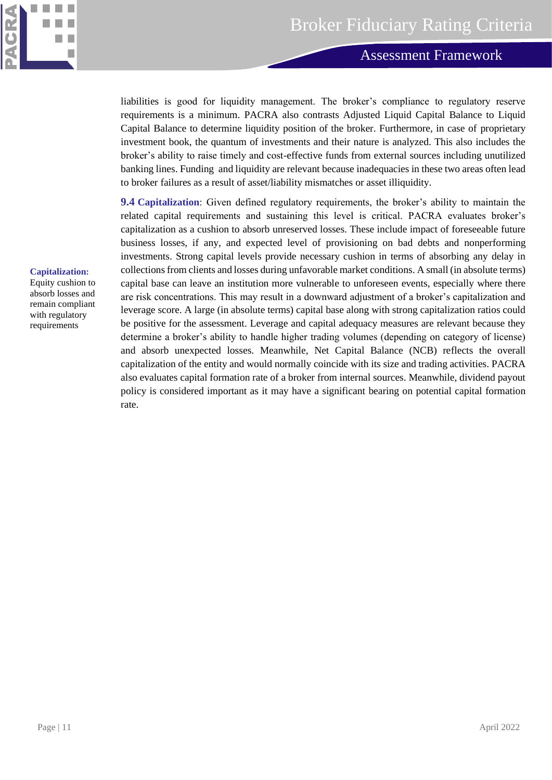

**Methodology – Asset Manager Rating**

liabilities is good for liquidity management. The broker's compliance to regulatory reserve requirements is a minimum. PACRA also contrasts Adjusted Liquid Capital Balance to Liquid Capital Balance to determine liquidity position of the broker. Furthermore, in case of proprietary investment book, the quantum of investments and their nature is analyzed. This also includes the broker's ability to raise timely and cost-effective funds from external sources including unutilized banking lines. Funding and liquidity are relevant because inadequacies in these two areas often lead to broker failures as a result of asset/liability mismatches or asset illiquidity.

**9.4 Capitalization**: Given defined regulatory requirements, the broker's ability to maintain the related capital requirements and sustaining this level is critical. PACRA evaluates broker's capitalization as a cushion to absorb unreserved losses. These include impact of foreseeable future business losses, if any, and expected level of provisioning on bad debts and nonperforming investments. Strong capital levels provide necessary cushion in terms of absorbing any delay in collections from clients and losses during unfavorable market conditions. A small (in absolute terms) capital base can leave an institution more vulnerable to unforeseen events, especially where there are risk concentrations. This may result in a downward adjustment of a broker's capitalization and leverage score. A large (in absolute terms) capital base along with strong capitalization ratios could be positive for the assessment. Leverage and capital adequacy measures are relevant because they determine a broker's ability to handle higher trading volumes (depending on category of license) and absorb unexpected losses. Meanwhile, Net Capital Balance (NCB) reflects the overall capitalization of the entity and would normally coincide with its size and trading activities. PACRA also evaluates capital formation rate of a broker from internal sources. Meanwhile, dividend payout policy is considered important as it may have a significant bearing on potential capital formation rate.

#### **Capitalization:**

Equity cushion to absorb losses and remain compliant with regulatory requirements